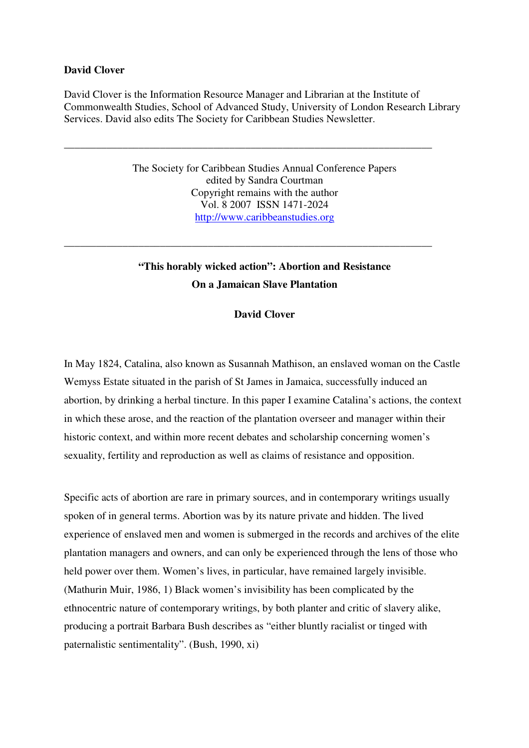## **David Clover**

David Clover is the Information Resource Manager and Librarian at the Institute of Commonwealth Studies, School of Advanced Study, University of London Research Library Services. David also edits The Society for Caribbean Studies Newsletter.

\_\_\_\_\_\_\_\_\_\_\_\_\_\_\_\_\_\_\_\_\_\_\_\_\_\_\_\_\_\_\_\_\_\_\_\_\_\_\_\_\_\_\_\_\_\_\_\_\_\_\_\_\_\_\_\_\_\_\_\_\_\_\_\_\_\_\_\_\_

\_\_\_\_\_\_\_\_\_\_\_\_\_\_\_\_\_\_\_\_\_\_\_\_\_\_\_\_\_\_\_\_\_\_\_\_\_\_\_\_\_\_\_\_\_\_\_\_\_\_\_\_\_\_\_\_\_\_\_\_\_\_\_\_\_\_\_\_\_

The Society for Caribbean Studies Annual Conference Papers edited by Sandra Courtman Copyright remains with the author Vol. 8 2007 ISSN 1471-2024 http://www.caribbeanstudies.org

## **"This horably wicked action": Abortion and Resistance On a Jamaican Slave Plantation**

## **David Clover**

In May 1824, Catalina, also known as Susannah Mathison, an enslaved woman on the Castle Wemyss Estate situated in the parish of St James in Jamaica, successfully induced an abortion, by drinking a herbal tincture. In this paper I examine Catalina's actions, the context in which these arose, and the reaction of the plantation overseer and manager within their historic context, and within more recent debates and scholarship concerning women's sexuality, fertility and reproduction as well as claims of resistance and opposition.

Specific acts of abortion are rare in primary sources, and in contemporary writings usually spoken of in general terms. Abortion was by its nature private and hidden. The lived experience of enslaved men and women is submerged in the records and archives of the elite plantation managers and owners, and can only be experienced through the lens of those who held power over them. Women's lives, in particular, have remained largely invisible. (Mathurin Muir, 1986, 1) Black women's invisibility has been complicated by the ethnocentric nature of contemporary writings, by both planter and critic of slavery alike, producing a portrait Barbara Bush describes as "either bluntly racialist or tinged with paternalistic sentimentality". (Bush, 1990, xi)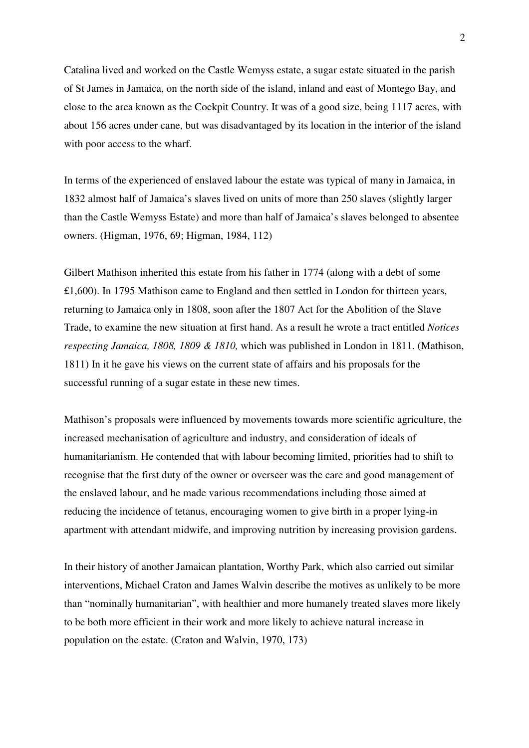Catalina lived and worked on the Castle Wemyss estate, a sugar estate situated in the parish of St James in Jamaica, on the north side of the island, inland and east of Montego Bay, and close to the area known as the Cockpit Country. It was of a good size, being 1117 acres, with about 156 acres under cane, but was disadvantaged by its location in the interior of the island with poor access to the wharf.

In terms of the experienced of enslaved labour the estate was typical of many in Jamaica, in 1832 almost half of Jamaica's slaves lived on units of more than 250 slaves (slightly larger than the Castle Wemyss Estate) and more than half of Jamaica's slaves belonged to absentee owners. (Higman, 1976, 69; Higman, 1984, 112)

Gilbert Mathison inherited this estate from his father in 1774 (along with a debt of some £1,600). In 1795 Mathison came to England and then settled in London for thirteen years, returning to Jamaica only in 1808, soon after the 1807 Act for the Abolition of the Slave Trade, to examine the new situation at first hand. As a result he wrote a tract entitled *Notices respecting Jamaica, 1808, 1809 & 1810,* which was published in London in 1811. (Mathison, 1811) In it he gave his views on the current state of affairs and his proposals for the successful running of a sugar estate in these new times.

Mathison's proposals were influenced by movements towards more scientific agriculture, the increased mechanisation of agriculture and industry, and consideration of ideals of humanitarianism. He contended that with labour becoming limited, priorities had to shift to recognise that the first duty of the owner or overseer was the care and good management of the enslaved labour, and he made various recommendations including those aimed at reducing the incidence of tetanus, encouraging women to give birth in a proper lying-in apartment with attendant midwife, and improving nutrition by increasing provision gardens.

In their history of another Jamaican plantation, Worthy Park, which also carried out similar interventions, Michael Craton and James Walvin describe the motives as unlikely to be more than "nominally humanitarian", with healthier and more humanely treated slaves more likely to be both more efficient in their work and more likely to achieve natural increase in population on the estate. (Craton and Walvin, 1970, 173)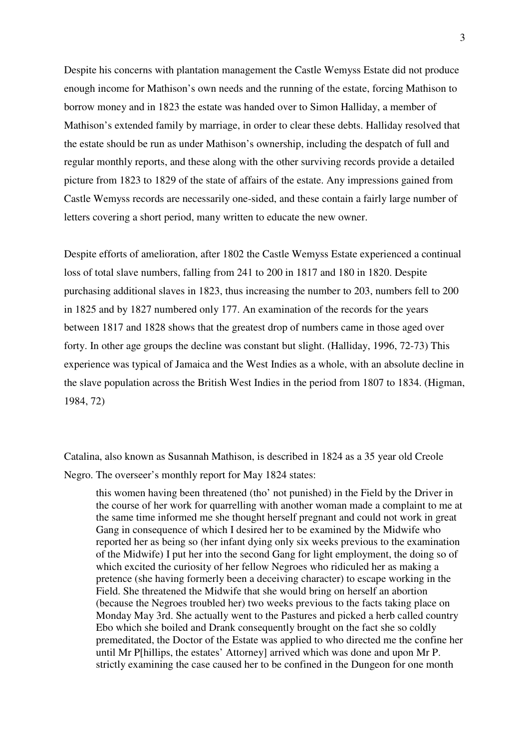Despite his concerns with plantation management the Castle Wemyss Estate did not produce enough income for Mathison's own needs and the running of the estate, forcing Mathison to borrow money and in 1823 the estate was handed over to Simon Halliday, a member of Mathison's extended family by marriage, in order to clear these debts. Halliday resolved that the estate should be run as under Mathison's ownership, including the despatch of full and regular monthly reports, and these along with the other surviving records provide a detailed picture from 1823 to 1829 of the state of affairs of the estate. Any impressions gained from Castle Wemyss records are necessarily one-sided, and these contain a fairly large number of letters covering a short period, many written to educate the new owner.

Despite efforts of amelioration, after 1802 the Castle Wemyss Estate experienced a continual loss of total slave numbers, falling from 241 to 200 in 1817 and 180 in 1820. Despite purchasing additional slaves in 1823, thus increasing the number to 203, numbers fell to 200 in 1825 and by 1827 numbered only 177. An examination of the records for the years between 1817 and 1828 shows that the greatest drop of numbers came in those aged over forty. In other age groups the decline was constant but slight. (Halliday, 1996, 72-73) This experience was typical of Jamaica and the West Indies as a whole, with an absolute decline in the slave population across the British West Indies in the period from 1807 to 1834. (Higman, 1984, 72)

Catalina, also known as Susannah Mathison, is described in 1824 as a 35 year old Creole Negro. The overseer's monthly report for May 1824 states:

this women having been threatened (tho' not punished) in the Field by the Driver in the course of her work for quarrelling with another woman made a complaint to me at the same time informed me she thought herself pregnant and could not work in great Gang in consequence of which I desired her to be examined by the Midwife who reported her as being so (her infant dying only six weeks previous to the examination of the Midwife) I put her into the second Gang for light employment, the doing so of which excited the curiosity of her fellow Negroes who ridiculed her as making a pretence (she having formerly been a deceiving character) to escape working in the Field. She threatened the Midwife that she would bring on herself an abortion (because the Negroes troubled her) two weeks previous to the facts taking place on Monday May 3rd. She actually went to the Pastures and picked a herb called country Ebo which she boiled and Drank consequently brought on the fact she so coldly premeditated, the Doctor of the Estate was applied to who directed me the confine her until Mr P[hillips, the estates' Attorney] arrived which was done and upon Mr P. strictly examining the case caused her to be confined in the Dungeon for one month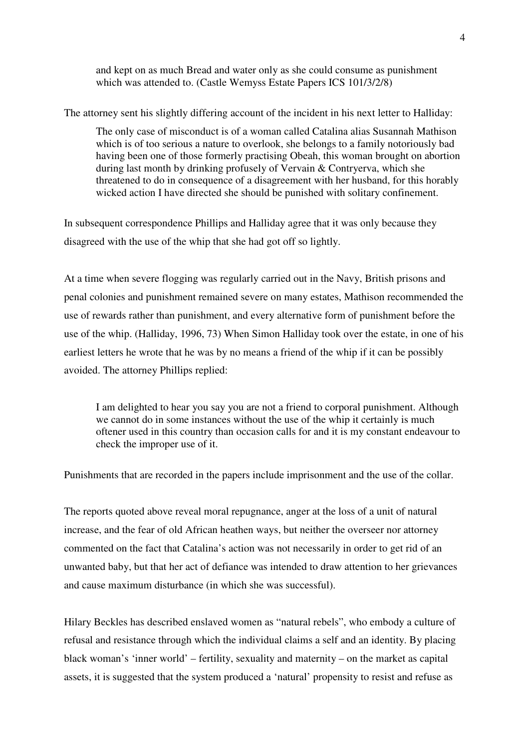and kept on as much Bread and water only as she could consume as punishment which was attended to. (Castle Wemyss Estate Papers ICS 101/3/2/8)

The attorney sent his slightly differing account of the incident in his next letter to Halliday:

The only case of misconduct is of a woman called Catalina alias Susannah Mathison which is of too serious a nature to overlook, she belongs to a family notoriously bad having been one of those formerly practising Obeah, this woman brought on abortion during last month by drinking profusely of Vervain & Contryerva, which she threatened to do in consequence of a disagreement with her husband, for this horably wicked action I have directed she should be punished with solitary confinement.

In subsequent correspondence Phillips and Halliday agree that it was only because they disagreed with the use of the whip that she had got off so lightly.

At a time when severe flogging was regularly carried out in the Navy, British prisons and penal colonies and punishment remained severe on many estates, Mathison recommended the use of rewards rather than punishment, and every alternative form of punishment before the use of the whip. (Halliday, 1996, 73) When Simon Halliday took over the estate, in one of his earliest letters he wrote that he was by no means a friend of the whip if it can be possibly avoided. The attorney Phillips replied:

I am delighted to hear you say you are not a friend to corporal punishment. Although we cannot do in some instances without the use of the whip it certainly is much oftener used in this country than occasion calls for and it is my constant endeavour to check the improper use of it.

Punishments that are recorded in the papers include imprisonment and the use of the collar.

The reports quoted above reveal moral repugnance, anger at the loss of a unit of natural increase, and the fear of old African heathen ways, but neither the overseer nor attorney commented on the fact that Catalina's action was not necessarily in order to get rid of an unwanted baby, but that her act of defiance was intended to draw attention to her grievances and cause maximum disturbance (in which she was successful).

Hilary Beckles has described enslaved women as "natural rebels", who embody a culture of refusal and resistance through which the individual claims a self and an identity. By placing black woman's 'inner world' – fertility, sexuality and maternity – on the market as capital assets, it is suggested that the system produced a 'natural' propensity to resist and refuse as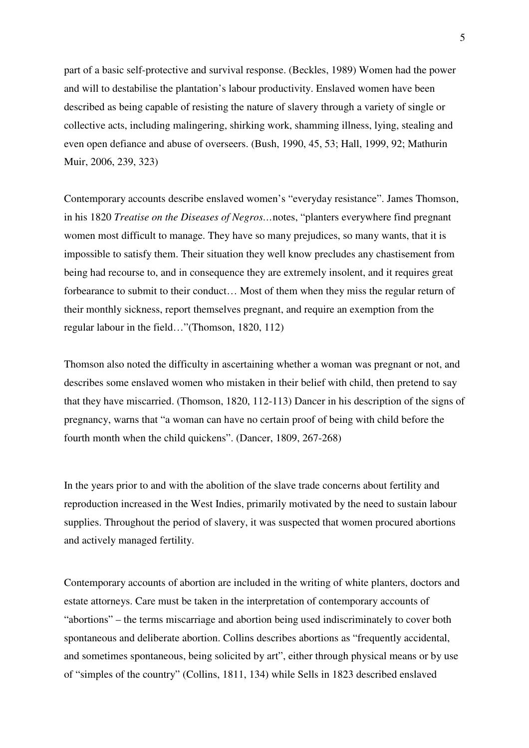part of a basic self-protective and survival response. (Beckles, 1989) Women had the power and will to destabilise the plantation's labour productivity. Enslaved women have been described as being capable of resisting the nature of slavery through a variety of single or collective acts, including malingering, shirking work, shamming illness, lying, stealing and even open defiance and abuse of overseers. (Bush, 1990, 45, 53; Hall, 1999, 92; Mathurin Muir, 2006, 239, 323)

Contemporary accounts describe enslaved women's "everyday resistance". James Thomson, in his 1820 *Treatise on the Diseases of Negros…*notes, "planters everywhere find pregnant women most difficult to manage. They have so many prejudices, so many wants, that it is impossible to satisfy them. Their situation they well know precludes any chastisement from being had recourse to, and in consequence they are extremely insolent, and it requires great forbearance to submit to their conduct… Most of them when they miss the regular return of their monthly sickness, report themselves pregnant, and require an exemption from the regular labour in the field…"(Thomson, 1820, 112)

Thomson also noted the difficulty in ascertaining whether a woman was pregnant or not, and describes some enslaved women who mistaken in their belief with child, then pretend to say that they have miscarried. (Thomson, 1820, 112-113) Dancer in his description of the signs of pregnancy, warns that "a woman can have no certain proof of being with child before the fourth month when the child quickens". (Dancer, 1809, 267-268)

In the years prior to and with the abolition of the slave trade concerns about fertility and reproduction increased in the West Indies, primarily motivated by the need to sustain labour supplies. Throughout the period of slavery, it was suspected that women procured abortions and actively managed fertility.

Contemporary accounts of abortion are included in the writing of white planters, doctors and estate attorneys. Care must be taken in the interpretation of contemporary accounts of "abortions" – the terms miscarriage and abortion being used indiscriminately to cover both spontaneous and deliberate abortion. Collins describes abortions as "frequently accidental, and sometimes spontaneous, being solicited by art", either through physical means or by use of "simples of the country" (Collins, 1811, 134) while Sells in 1823 described enslaved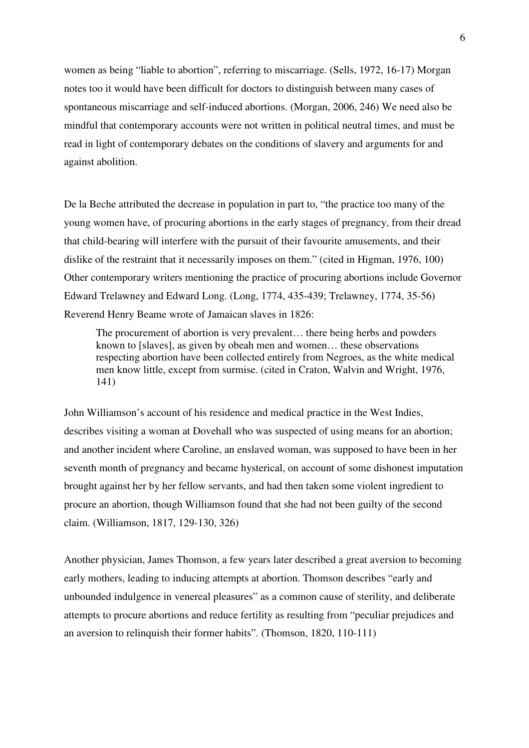women as being "liable to abortion", referring to miscarriage. (Sells, 1972, 16-17) Morgan notes too it would have been difficult for doctors to distinguish between many cases of spontaneous miscarriage and self-induced abortions. (Morgan, 2006, 246) We need also be mindful that contemporary accounts were not written in political neutral times, and must be read in light of contemporary debates on the conditions of slavery and arguments for and against abolition.

De la Beche attributed the decrease in population in part to, "the practice too many of the young women have, of procuring abortions in the early stages of pregnancy, from their dread that child-bearing will interfere with the pursuit of their favourite amusements, and their dislike of the restraint that it necessarily imposes on them." (cited in Higman, 1976, 100) Other contemporary writers mentioning the practice of procuring abortions include Governor Edward Trelawney and Edward Long. (Long, 1774, 435-439; Trelawney, 1774, 35-56) Reverend Henry Beame wrote of Jamaican slaves in 1826:

The procurement of abortion is very prevalent… there being herbs and powders known to [slaves], as given by obeah men and women… these observations respecting abortion have been collected entirely from Negroes, as the white medical men know little, except from surmise. (cited in Craton, Walvin and Wright, 1976, 141)

John Williamson's account of his residence and medical practice in the West Indies, describes visiting a woman at Dovehall who was suspected of using means for an abortion; and another incident where Caroline, an enslaved woman, was supposed to have been in her seventh month of pregnancy and became hysterical, on account of some dishonest imputation brought against her by her fellow servants, and had then taken some violent ingredient to procure an abortion, though Williamson found that she had not been guilty of the second claim. (Williamson, 1817, 129-130, 326)

Another physician, James Thomson, a few years later described a great aversion to becoming early mothers, leading to inducing attempts at abortion. Thomson describes "early and unbounded indulgence in venereal pleasures" as a common cause of sterility, and deliberate attempts to procure abortions and reduce fertility as resulting from "peculiar prejudices and an aversion to relinquish their former habits". (Thomson, 1820, 110-111)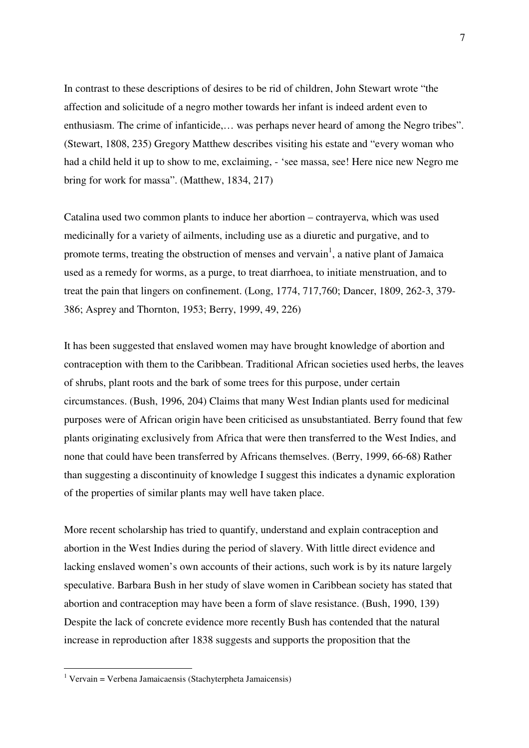In contrast to these descriptions of desires to be rid of children, John Stewart wrote "the affection and solicitude of a negro mother towards her infant is indeed ardent even to enthusiasm. The crime of infanticide,… was perhaps never heard of among the Negro tribes". (Stewart, 1808, 235) Gregory Matthew describes visiting his estate and "every woman who had a child held it up to show to me, exclaiming, - 'see massa, see! Here nice new Negro me bring for work for massa". (Matthew, 1834, 217)

Catalina used two common plants to induce her abortion – contrayerva, which was used medicinally for a variety of ailments, including use as a diuretic and purgative, and to promote terms, treating the obstruction of menses and vervain<sup>1</sup>, a native plant of Jamaica used as a remedy for worms, as a purge, to treat diarrhoea, to initiate menstruation, and to treat the pain that lingers on confinement. (Long, 1774, 717,760; Dancer, 1809, 262-3, 379- 386; Asprey and Thornton, 1953; Berry, 1999, 49, 226)

It has been suggested that enslaved women may have brought knowledge of abortion and contraception with them to the Caribbean. Traditional African societies used herbs, the leaves of shrubs, plant roots and the bark of some trees for this purpose, under certain circumstances. (Bush, 1996, 204) Claims that many West Indian plants used for medicinal purposes were of African origin have been criticised as unsubstantiated. Berry found that few plants originating exclusively from Africa that were then transferred to the West Indies, and none that could have been transferred by Africans themselves. (Berry, 1999, 66-68) Rather than suggesting a discontinuity of knowledge I suggest this indicates a dynamic exploration of the properties of similar plants may well have taken place.

More recent scholarship has tried to quantify, understand and explain contraception and abortion in the West Indies during the period of slavery. With little direct evidence and lacking enslaved women's own accounts of their actions, such work is by its nature largely speculative. Barbara Bush in her study of slave women in Caribbean society has stated that abortion and contraception may have been a form of slave resistance. (Bush, 1990, 139) Despite the lack of concrete evidence more recently Bush has contended that the natural increase in reproduction after 1838 suggests and supports the proposition that the

 $\overline{a}$ 

 $<sup>1</sup>$  Vervain = Verbena Jamaicaensis (Stachyterpheta Jamaicensis)</sup>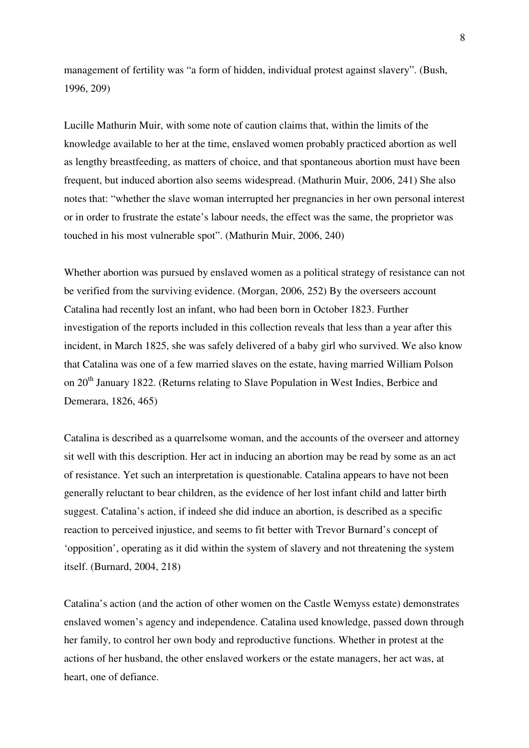management of fertility was "a form of hidden, individual protest against slavery". (Bush, 1996, 209)

Lucille Mathurin Muir, with some note of caution claims that, within the limits of the knowledge available to her at the time, enslaved women probably practiced abortion as well as lengthy breastfeeding, as matters of choice, and that spontaneous abortion must have been frequent, but induced abortion also seems widespread. (Mathurin Muir, 2006, 241) She also notes that: "whether the slave woman interrupted her pregnancies in her own personal interest or in order to frustrate the estate's labour needs, the effect was the same, the proprietor was touched in his most vulnerable spot". (Mathurin Muir, 2006, 240)

Whether abortion was pursued by enslaved women as a political strategy of resistance can not be verified from the surviving evidence. (Morgan, 2006, 252) By the overseers account Catalina had recently lost an infant, who had been born in October 1823. Further investigation of the reports included in this collection reveals that less than a year after this incident, in March 1825, she was safely delivered of a baby girl who survived. We also know that Catalina was one of a few married slaves on the estate, having married William Polson on 20<sup>th</sup> January 1822. (Returns relating to Slave Population in West Indies, Berbice and Demerara, 1826, 465)

Catalina is described as a quarrelsome woman, and the accounts of the overseer and attorney sit well with this description. Her act in inducing an abortion may be read by some as an act of resistance. Yet such an interpretation is questionable. Catalina appears to have not been generally reluctant to bear children, as the evidence of her lost infant child and latter birth suggest. Catalina's action, if indeed she did induce an abortion, is described as a specific reaction to perceived injustice, and seems to fit better with Trevor Burnard's concept of 'opposition', operating as it did within the system of slavery and not threatening the system itself. (Burnard, 2004, 218)

Catalina's action (and the action of other women on the Castle Wemyss estate) demonstrates enslaved women's agency and independence. Catalina used knowledge, passed down through her family, to control her own body and reproductive functions. Whether in protest at the actions of her husband, the other enslaved workers or the estate managers, her act was, at heart, one of defiance.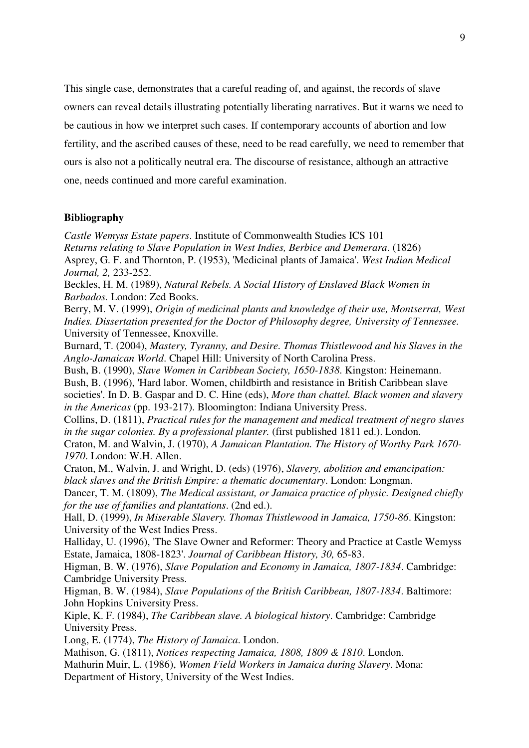This single case, demonstrates that a careful reading of, and against, the records of slave owners can reveal details illustrating potentially liberating narratives. But it warns we need to be cautious in how we interpret such cases. If contemporary accounts of abortion and low fertility, and the ascribed causes of these, need to be read carefully, we need to remember that ours is also not a politically neutral era. The discourse of resistance, although an attractive one, needs continued and more careful examination.

## **Bibliography**

*Castle Wemyss Estate papers*. Institute of Commonwealth Studies ICS 101 *Returns relating to Slave Population in West Indies, Berbice and Demerara*. (1826) Asprey, G. F. and Thornton, P. (1953), 'Medicinal plants of Jamaica'. *West Indian Medical Journal, 2,* 233-252.

Beckles, H. M. (1989), *Natural Rebels. A Social History of Enslaved Black Women in Barbados.* London: Zed Books.

Berry, M. V. (1999), *Origin of medicinal plants and knowledge of their use, Montserrat, West Indies. Dissertation presented for the Doctor of Philosophy degree, University of Tennessee.* University of Tennessee, Knoxville.

Burnard, T. (2004), *Mastery, Tyranny, and Desire. Thomas Thistlewood and his Slaves in the Anglo-Jamaican World*. Chapel Hill: University of North Carolina Press.

Bush, B. (1990), *Slave Women in Caribbean Society, 1650-1838*. Kingston: Heinemann. Bush, B. (1996), 'Hard labor. Women, childbirth and resistance in British Caribbean slave societies'. In D. B. Gaspar and D. C. Hine (eds), *More than chattel. Black women and slavery in the Americas* (pp. 193-217). Bloomington: Indiana University Press.

Collins, D. (1811), *Practical rules for the management and medical treatment of negro slaves in the sugar colonies. By a professional planter.* (first published 1811 ed.). London.

Craton, M. and Walvin, J. (1970), *A Jamaican Plantation. The History of Worthy Park 1670- 1970*. London: W.H. Allen.

Craton, M., Walvin, J. and Wright, D. (eds) (1976), *Slavery, abolition and emancipation: black slaves and the British Empire: a thematic documentary*. London: Longman.

Dancer, T. M. (1809), *The Medical assistant, or Jamaica practice of physic. Designed chiefly for the use of families and plantations*. (2nd ed.).

Hall, D. (1999), *In Miserable Slavery. Thomas Thistlewood in Jamaica, 1750-86*. Kingston: University of the West Indies Press.

Halliday, U. (1996), 'The Slave Owner and Reformer: Theory and Practice at Castle Wemyss Estate, Jamaica, 1808-1823'. *Journal of Caribbean History, 30,* 65-83.

Higman, B. W. (1976), *Slave Population and Economy in Jamaica, 1807-1834*. Cambridge: Cambridge University Press.

Higman, B. W. (1984), *Slave Populations of the British Caribbean, 1807-1834*. Baltimore: John Hopkins University Press.

Kiple, K. F. (1984), *The Caribbean slave. A biological history*. Cambridge: Cambridge University Press.

Long, E. (1774), *The History of Jamaica*. London.

Mathison, G. (1811), *Notices respecting Jamaica, 1808, 1809 & 1810*. London.

Mathurin Muir, L. (1986), *Women Field Workers in Jamaica during Slavery*. Mona:

Department of History, University of the West Indies.